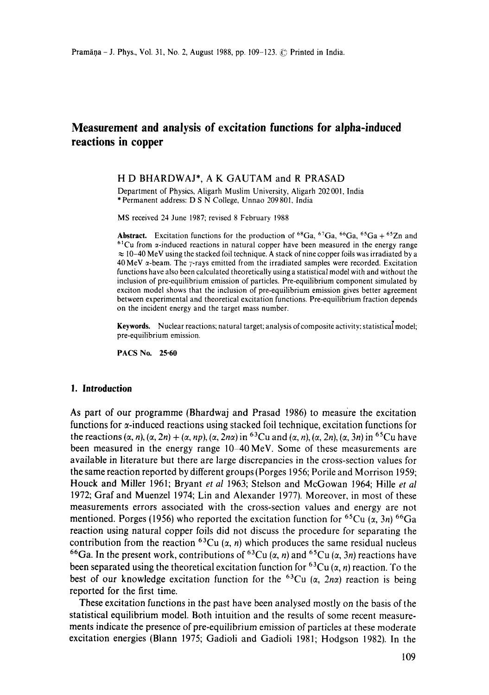# **Measurement and analysis of excitation functions for alpha-induced reactions in copper**

#### H D BHARDWAJ\*, A K GAUTAM and R PRASAD

Department of Physics, Aligarh Muslim University, Aligarh 202001, India \*Permanent address: D S N College, Unnao 209801, India

MS received 24 June 1987; revised 8 February 1988

**Abstract.** Excitation functions for the production of  ${}^{68}Ga$ ,  ${}^{67}Ga$ ,  ${}^{66}Ga$ ,  ${}^{65}Ga$  +  ${}^{65}Zn$  and  $61$ Cu from  $\alpha$ -induced reactions in natural copper have been measured in the energy range  $\approx$  10-40 MeV using the stacked foil technique. A stack of nine copper foils was irradiated by a 40 MeV  $\alpha$ -beam. The  $\gamma$ -rays emitted from the irradiated samples were recorded. Excitation functions have also been calculated theoretically using a statistical model with and without the inclusion of pre-equilibrium emission of particles. Pre-equilibrium component simulated by exciton model shows that the inclusion of pre-equilibrium emission gives better agreement between experimental and theoretical excitation functions. Pre-equilibrium fraction depends on the incident energy and the target mass number.

Keywords. Nuclear reactions; natural target; analysis of composite activity; statistical model; pre-equilibrium emission.

PACS No. **25"60** 

#### **1. Introduction**

As part of our programme (Bhardwaj and Prasad 1986) to measure the excitation functions for  $\alpha$ -induced reactions using stacked foil technique, excitation functions for the reactions  $(\alpha, n)$ ,  $(\alpha, 2n) + (\alpha, np)$ ,  $(\alpha, 2n\alpha)$  in <sup>63</sup>Cu and  $(\alpha, n)$ ,  $(\alpha, 2n)$ ,  $(\alpha, 3n)$  in <sup>65</sup>Cu have been measured in the energy range 10-40 MeV. Some of these measurements are available in literature but there are large discrepancies in the cross-section values for the same reaction reported by different groups (Porges 1956; Porile and Morrison 1959; Houck and Miller 1961; Bryant *et al* 1963; Stelson and McGowan 1964; Hille *et al*  1972; Graf and Muenzel 1974; Lin and Alexander 1977). Moreover, in most of these measurements errors associated with the cross-section values and energy are not mentioned. Porges (1956) who reported the excitation function for <sup>65</sup>Cu ( $\alpha$ , 3n) <sup>66</sup>Ga reaction using natural copper foils did not discuss the procedure for separating the contribution from the reaction <sup>63</sup>Cu ( $\alpha$ , n) which produces the same residual nucleus <sup>66</sup>Ga. In the present work, contributions of <sup>63</sup>Cu ( $\alpha$ , n) and <sup>65</sup>Cu ( $\alpha$ , 3n) reactions have been separated using the theoretical excitation function for <sup>63</sup>Cu ( $\alpha$ , *n*) reaction. To the best of our knowledge excitation function for the  ${}^{63}Cu$  ( $\alpha$ , 2n $\alpha$ ) reaction is being reported for the first time.

These excitation functions in the past have been analysed mostly on the basis of the statistical equilibrium model. Both intuition and the results of some recent measurements indicate the presence of pre-equilibrium emission of particles at these moderate excitation energies (Biann 1975; Gadioli and Gadioli 1981; Hodgson 1982). In the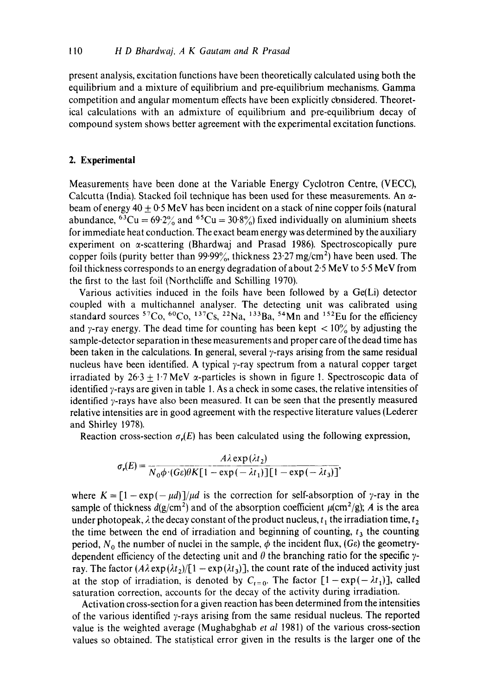present analysis, excitation functions have been theoretically calculated using both the equilibrium and a mixture of equilibrium and pre-equilibrium mechanisms. Gamma competition and angular momentum effects have been explicitly cbnsidered. Theoretical calculations with an admixture of equilibrium and pre-equilibrium decay of compound system shows better agreement with the experimental excitation functions.

#### **2. Experimental**

Measurements have been done at the Variable Energy Cyclotron Centre, (VECC), Calcutta (India). Stacked foil technique has been used for these measurements. An  $\alpha$ beam of energy 40 + 0.5 MeV has been incident on a stack of nine copper foils (natural abundance, <sup>63</sup>Cu =  $69.2\%$  and <sup>65</sup>Cu =  $30.8\%$  fixed individually on aluminium sheets for immediate heat conduction. The exact beam energy was determined by the auxiliary experiment on  $\alpha$ -scattering (Bhardwaj and Prasad 1986). Spectroscopically pure copper foils (purity better than  $99.99\%$ , thickness  $23.27 \text{ mg/cm}^2$ ) have been used. The foil thickness corresponds to an energy degradation of about  $2.5 \text{ MeV}$  to  $5.5 \text{ MeV}$  from the first to the last foil (Northcliffe and Schilling 1970).

Various activities induced in the foils have been followed by a Ge(Li) detector coupled with a multichannel analyser. The detecting unit was calibrated using standard sources  ${}^{57}Co, {}^{60}Co, {}^{137}Cs, {}^{22}Na, {}^{133}Ba, {}^{54}Mn$  and  ${}^{152}Eu$  for the efficiency and y-ray energy. The dead time for counting has been kept  $\langle 10 \rangle$  by adjusting the sample-detector separation in these measurements and proper care of the dead time has been taken in the calculations. In general, several  $\gamma$ -rays arising from the same residual nucleus have been identified. A typical  $\gamma$ -ray spectrum from a natural copper target irradiated by  $26.3 + 1.7$  MeV  $\alpha$ -particles is shown in figure 1. Spectroscopic data of identified  $\gamma$ -rays are given in table 1. As a check in some cases, the relative intensities of identified  $\gamma$ -rays have also been measured. It can be seen that the presently measured relative intensities are in good agreement with the respective literature values (Lederer and Shirley 1978).

Reaction cross-section  $\sigma_r(E)$  has been calculated using the following expression,

$$
\sigma_r(E) = \frac{A\lambda \exp(\lambda t_2)}{N_0 \phi \cdot (G\epsilon)\theta K[1 - \exp(-\lambda t_1)][1 - \exp(-\lambda t_3)]},
$$

where  $K = [1 - \exp(-\mu d)]/\mu d$  is the correction for self-absorption of y-ray in the sample of thickness  $d(g/cm^2)$  and of the absorption coefficient  $\mu$ (cm<sup>2</sup>/g); A is the area under photopeak,  $\lambda$  the decay constant of the product nucleus,  $t_1$  the irradiation time,  $t_2$ the time between the end of irradiation and beginning of counting,  $t<sub>3</sub>$  the counting period,  $N_0$  the number of nuclei in the sample,  $\phi$  the incident flux, (Ge) the geometrydependent efficiency of the detecting unit and  $\theta$  the branching ratio for the specific  $\gamma$ ray. The factor  $(A\lambda \exp{(\lambda t_2)} / [1 - \exp{(\lambda t_3)}]$ , the count rate of the induced activity just at the stop of irradiation, is denoted by  $C_{t=0}$ . The factor  $[1-\exp(-\lambda t_1)]$ , called saturation correction, accounts for the decay of the activity during irradiation.

Activation cross-section for a given reaction has been determined from the intensities of the various identified  $\gamma$ -rays arising from the same residual nucleus. The reported value is the weighted average (Mughabghab *et al* 1981) of the various cross-section values so obtained. The statistical error given in the results is the larger one of the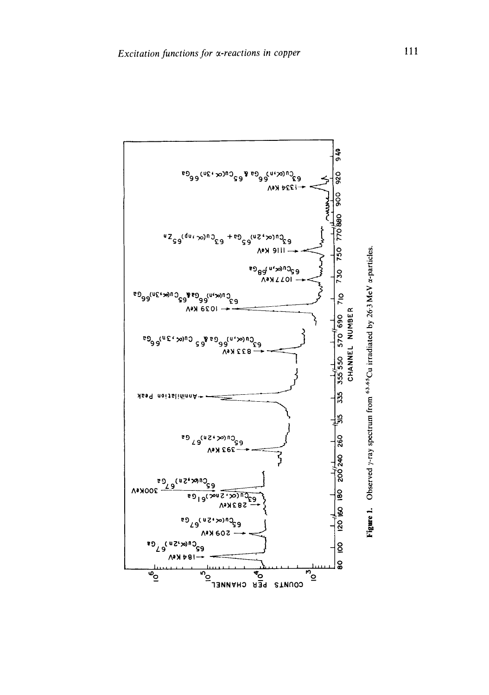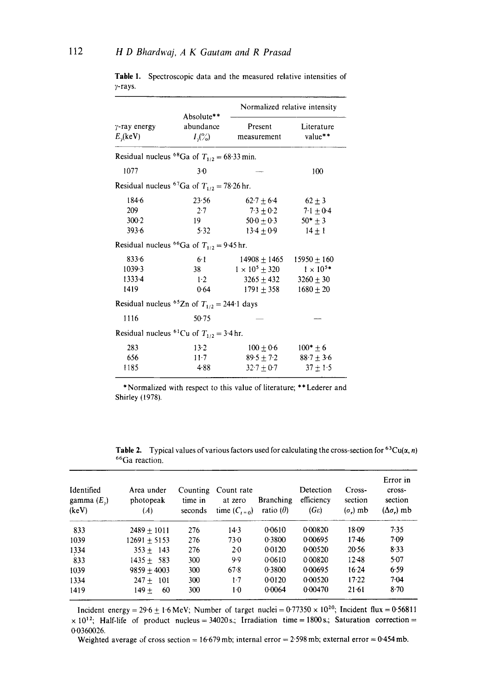|                                                             | Absolute**               | Normalized relative intensity |                       |  |  |  |  |
|-------------------------------------------------------------|--------------------------|-------------------------------|-----------------------|--|--|--|--|
| $\gamma$ -ray energy<br>$E_{\gamma}$ (keV)                  | abundance<br>$I_{y}($ %) | Present<br>measurement        | Literature<br>value** |  |  |  |  |
| Residual nucleus <sup>68</sup> Ga of $T_{1/2} = 68.33$ min. |                          |                               |                       |  |  |  |  |
| 1077                                                        | $3-0$                    |                               | 100                   |  |  |  |  |
| Residual nucleus <sup>67</sup> Ga of $T_{1/2} = 78.26$ hr.  |                          |                               |                       |  |  |  |  |
| 184.6                                                       | 23.56                    | $62.7 + 6.4$                  | $62 + 3$              |  |  |  |  |
| 209                                                         | $2-7$                    | $7.3 + 0.2$                   | $7.1 + 0.4$           |  |  |  |  |
| $300-2$                                                     | 19                       | $50.0 + 0.3$                  | $50* + 3$             |  |  |  |  |
| 393.6                                                       | 5.32                     | $13.4 + 0.9$                  | $14 + 1$              |  |  |  |  |
| Residual nucleus <sup>66</sup> Ga of $T_{1/2} = 9.45$ hr.   |                          |                               |                       |  |  |  |  |
| 833.6                                                       | 6.1                      | $14908 + 1465$                | $15950 + 160$         |  |  |  |  |
| 1039.3                                                      | 38                       | $1 \times 10^5 \pm 320$       | $1 \times 10^{5*}$    |  |  |  |  |
| 1333-4                                                      | 1.2                      | $3265 \pm 432$                | $3260 + 30$           |  |  |  |  |
| 1419                                                        | 0.64                     | $1791 + 358$                  | $1680 \pm 20$         |  |  |  |  |
| Residual nucleus <sup>65</sup> Zn of $T_{1/2} = 244.1$ days |                          |                               |                       |  |  |  |  |
| 1116                                                        | 50.75                    |                               |                       |  |  |  |  |
| Residual nucleus <sup>61</sup> Cu of $T_{1/2} = 3.4$ hr.    |                          |                               |                       |  |  |  |  |
| 283                                                         | $13-2$                   | $100 \pm 0.6$                 | $100* + 6$            |  |  |  |  |
| 656                                                         | $11 - 7$                 | $89.5 + 7.2$                  | $88.7 \pm 3.6$        |  |  |  |  |
| 1185                                                        | 4.88                     | $32.7 + 0.7$                  | $37 + 1.5$            |  |  |  |  |

Table 1. Spectroscopic data and the measured relative intensities of y-rays.

\* Normalized with respect to this value of literature; \*\* Lederer and Shirley (1978).

Table 2. Typical values of various factors used for calculating the cross-section for <sup>63</sup>Cu( $\alpha$ , *n*) 66Ga reaction.

| Identified<br>gamma $(E_{\nu})$<br>(keV) | Area under<br>photopeak<br>(A) | Counting<br>time in<br>seconds | Count rate<br>at zero<br>time $(C_{t=0})$ | <b>Branching</b><br>ratio $(\theta)$ | Detection<br>efficiency<br>$(G_{\mathcal{E}})$ | Cross-<br>section<br>$(\sigma_r)$ mb | Error in<br>cross-<br>section<br>$(\Delta \sigma_{\rm e})$ mb |
|------------------------------------------|--------------------------------|--------------------------------|-------------------------------------------|--------------------------------------|------------------------------------------------|--------------------------------------|---------------------------------------------------------------|
| 833                                      | $2489 + 1011$                  | 276                            | $14-3$                                    | 0.0610                               | 0.00820                                        | 18.09                                | 7:35                                                          |
| 1039                                     | $12691 + 5153$                 | 276                            | 73.0                                      | 0.3800                               | 0.00695                                        | 1746                                 | 7.09                                                          |
| 1334                                     | $353 + 143$                    | 276                            | $2-0$                                     | 0.0120                               | 0.00520                                        | 20:56                                | 8.33                                                          |
| 833                                      | $1435 + 583$                   | 300                            | 9.9                                       | 0.0610                               | 0.00820                                        | 12.48                                | $5-07$                                                        |
| 1039                                     | $9859 + 4003$                  | 300                            | 67.8                                      | 0.3800                               | 0.00695                                        | $16-24$                              | 6.59                                                          |
| 1334                                     | $247 + 101$                    | 300                            | $1-7$                                     | 0.0120                               | 0.00520                                        | $17-22$                              | 7.04                                                          |
| 1419                                     | $149+$<br>60                   | 300                            | 1.0                                       | 0.0064                               | 0.00470                                        | $21-61$                              | $8 - 70$                                                      |

Incident energy = 29.6  $\pm$  1.6 MeV; Number of target nuclei = 0.77350  $\times$  10<sup>20</sup>; Incident flux = 0.56811  $\times$  10<sup>12</sup>; Half-life of product nucleus = 34020s.; Irradiation time = 1800s.; Saturation correction = 0.0360026.

Weighted average of cross section =  $16.679$  mb; internal error =  $2.598$  mb; external error =  $0.454$  mb.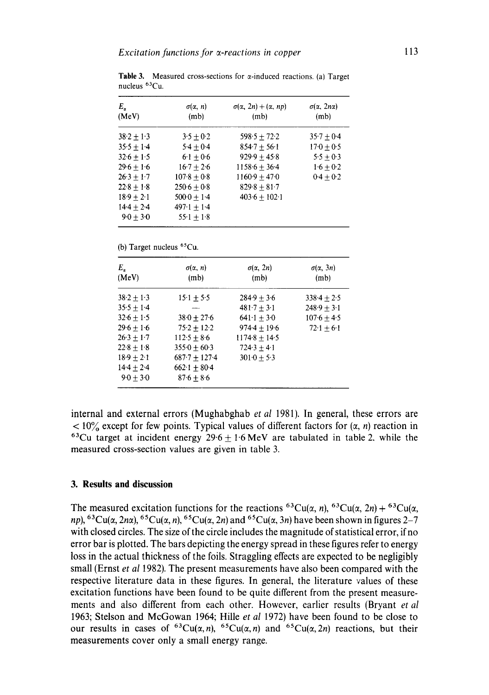| $E_{\alpha}$<br>(MeV) | $\sigma(\alpha, n)$<br>(m <sub>b</sub> ) | $\sigma(\alpha, 2n) + (\alpha, np)$<br>(m <sub>b</sub> ) | $\sigma(\alpha, 2n\alpha)$<br>(m <sub>b</sub> ) |
|-----------------------|------------------------------------------|----------------------------------------------------------|-------------------------------------------------|
| $38.2 + 1.3$          | $3.5 + 0.2$                              | $598.5 + 72.2$                                           | $35.7 + 0.4$                                    |
| $35.5 + 1.4$          | $5.4 + 0.4$                              | $854.7 + 56.1$                                           | $17.0 + 0.5$                                    |
| $32.6 + 1.5$          | $6.1 + 0.6$                              | $929.9 + 45.8$                                           | $5.5 + 0.3$                                     |
| $29.6 + 1.6$          | $16.7 + 2.6$                             | $1158.6 + 36.4$                                          | $1.6 + 0.2$                                     |
| $26.3 + 1.7$          | $107.8 + 0.8$                            | $1160.9 + 47.0$                                          | $0.4 + 0.2$                                     |
| $22.8 + 1.8$          | $250.6 + 0.8$                            | $829.8 + 81.7$                                           |                                                 |
| $18.9 + 2.1$          | $500 \cdot 0 + 1 \cdot 4$                | $403.6 + 102.1$                                          |                                                 |
| $14.4 + 2.4$          | $497.1 + 1.4$                            |                                                          |                                                 |
| $9.0 + 3.0$           | $55 \cdot 1 + 1 \cdot 8$                 |                                                          |                                                 |

**Table 3.** Measured cross-sections for  $\alpha$ -induced reactions. (a) Target nucleus  ${}^{63}Cu$ .

<sup>(</sup>b) Target nucleus <sup>65</sup>Cu.

| $E_a$<br>(MeV) | $\sigma(\alpha, n)$<br>(m <sub>b</sub> ) | $\sigma(\alpha, 2n)$<br>(m <sub>b</sub> ) | $\sigma(\alpha, 3n)$<br>(m <sub>b</sub> ) |
|----------------|------------------------------------------|-------------------------------------------|-------------------------------------------|
| $38.2 + 1.3$   | $15.1 + 5.5$                             | $284.9 + 3.6$                             | $338.4 + 2.5$                             |
| $35.5 + 1.4$   |                                          | $481.7 + 3.1$                             | $248.9 + 3.1$                             |
| $32.6 + 1.5$   | $38.0 + 27.6$                            | $641.1 \pm 3.0$                           | $107.6 + 4.5$                             |
| $29.6 + 1.6$   | $75.2 + 12.2$                            | $974.4 \pm 19.6$                          | $72.1 + 6.1$                              |
| $26.3 + 1.7$   | $112.5 + 8.6$                            | $1174.8 + 14.5$                           |                                           |
| $22.8 + 1.8$   | $3550 + 603$                             | $724.3 + 4.1$                             |                                           |
| $18.9 + 2.1$   | $687.7 + 127.4$                          | $3010 + 53$                               |                                           |
| $14.4 + 2.4$   | $662 \cdot 1 + 80 \cdot 4$               |                                           |                                           |
| $9.0 + 3.0$    | $87.6 + 8.6$                             |                                           |                                           |

internal and external errors (Mughabghab *et al* 1981). In general, these errors are  $< 10\%$  except for few points. Typical values of different factors for  $(\alpha, n)$  reaction in <sup>63</sup>Cu target at incident energy  $29.6 + 1.6$  MeV are tabulated in table 2, while the measured cross-section values are given in table 3.

### **3. Results and discussion**

The measured excitation functions for the reactions <sup>63</sup>Cu( $\alpha$ , n), <sup>63</sup>Cu( $\alpha$ , 2n) + <sup>63</sup>Cu( $\alpha$ , *np*), <sup>63</sup>Cu( $\alpha$ , 2n $\alpha$ ), <sup>65</sup>Cu( $\alpha$ , n), <sup>65</sup>Cu( $\alpha$ , 2n) and <sup>65</sup>Cu( $\alpha$ , 3n) have been shown in figures 2-7 with closed circles. The size of the circle includes the magnitude of statistical error, if no error bar is plotted. The bars depicting the energy spread in these figures refer to energy loss in the actual thickness of the foils. Straggling effects are expected to be negligibly small (Ernst *et al* 1982). The present measurements have also been compared with the respective literature data in these figures. In general, the literature values of these excitation functions have been found to be quite different from the present measurements and also different from each other. However, earlier results (Bryant *et al*  1963; Stelson and McGowan 1964; Hille *et al* 1972) have been found to be close to our results in cases of <sup>63</sup>Cu( $\alpha$ ,n), <sup>65</sup>Cu( $\alpha$ ,n) and <sup>65</sup>Cu( $\alpha$ , 2n) reactions, but their measurements cover only a small energy range.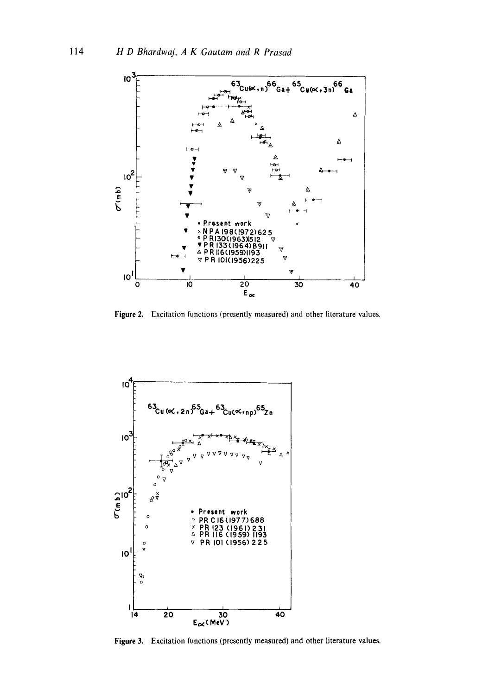

Figure 2. Excitation functions (presently measured) and other literature values.



Figure 3. Excitation functions (presently measured) and other literature values.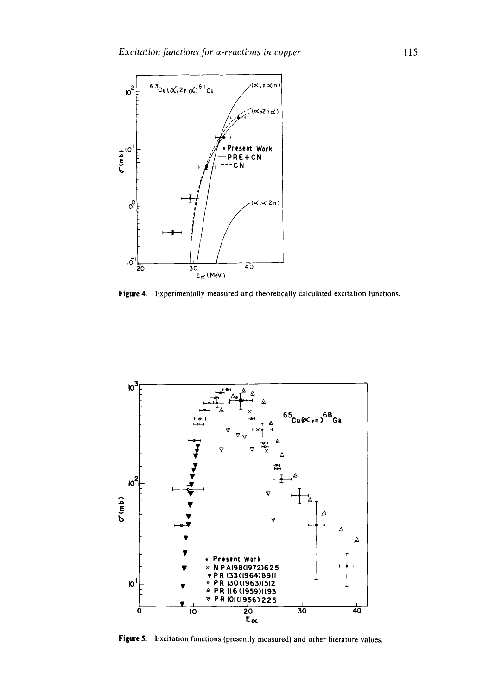

Figure 4. Experimentally measured and theoretically calculated excitation functions.



Figure 5. Excitation functions (presently measured) and other literature values.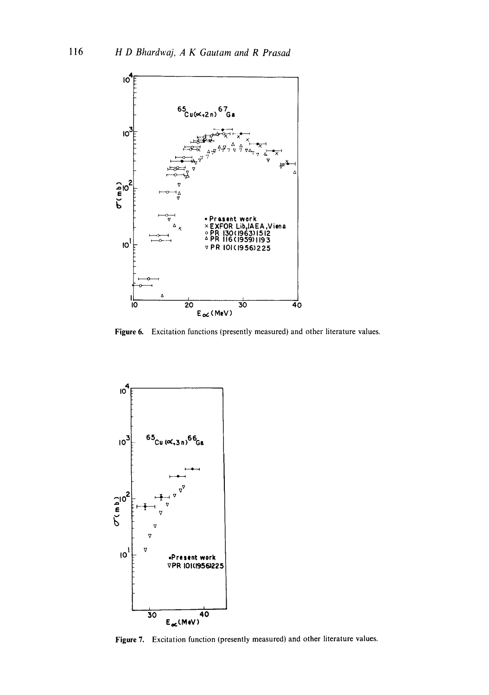

Figure 6. Excitation functions (presently measured) and other literature values.



Figure 7. Excitation function (presently measured) and other literature values.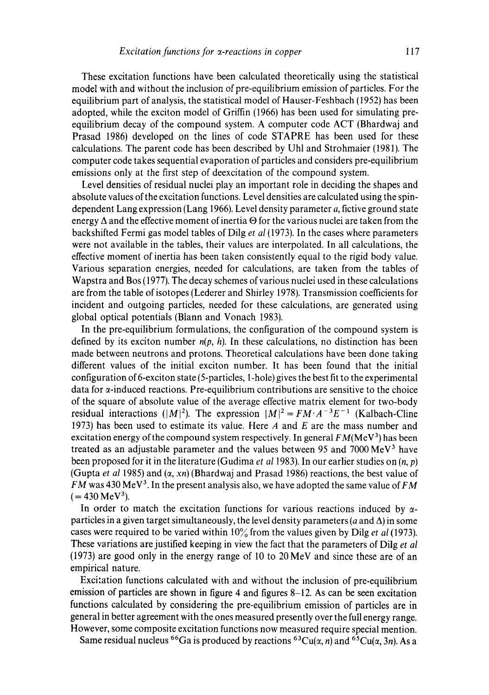These excitation functions have been calculated theoretically using the statistical model with and without the inclusion of pre-equiiibrium emission of particles. For the equilibrium part of analysis, the statistical model of Hauser-Feshbach (1952) has been adopted, while the exciton model of Griffin (1966) has been used for simulating preequilibrium decay of the compound system. A computer code ACT (Bhardwaj and Prasad 1986) developed on the lines of code STAPRE has been used for these calculations. The parent code has been described by Uhl and Strohmaier (1981). The computer code takes sequential evaporation of particles and considers pre-equilibrium emissions only at the first step of deexcitation of the compound system.

Level densities of residual nuclei play an important role in deciding the shapes and absolute values of the excitation functions. Level densities are calculated using the spindependent Lang expression (Lang 1966). Level density parameter a, fictive ground state energy  $\Delta$  and the effective moment of inertia  $\Theta$  for the various nuclei are taken from the backshifted Fermi gas model tables of Dilg *et al* (1973). In the cases where parameters were not available in the tables, their values are interpolated. In all calculations, the effective moment of inertia has been taken consistently equal to the rigid body value. Various separation energies, needed for calculations, are taken from the tables of Wapstra and Bos (1977). The decay schemes of various nuclei used in these calculations are from the table of isotopes (Lederer and Shirley 1978). Transmission coefficients for incident and outgoing particles, needed for these calculations, are generated using global optical potentials (Blann and Vonach 1983).

In the pre-equilibrium formulations, the configuration of the compound system is defined by its exciton number  $n(p, h)$ . In these calculations, no distinction has been made between neutrons and protons. Theoretical calculations have been done taking different values of the initial exciton number. It has been found that the initial configuration of 6-exciton state (5-particles, 1-hole) gives the best fit to the experimental data for a-induced reactions. Pre-equilibrium contributions are sensitive to the choice of the square of absolute value of the average effective matrix element for two-body residual interactions ( $|M|^2$ ). The expression  $|M|^2 = FM \cdot A^{-3}E^{-1}$  (Kalbach-Cline 1973) has been used to estimate its value. Here  $A$  and  $E$  are the mass number and excitation energy of the compound system respectively. In general  $FM(MeV<sup>3</sup>)$  has been treated as an adjustable parameter and the values between 95 and 7000  $\text{MeV}^3$  have been proposed for it in the literature (Gudima *et al* 1983). In our earlier studies on (n, p) (Gupta *et al* 1985) and  $(\alpha, xn)$  (Bhardwaj and Prasad 1986) reactions, the best value of *FM* was 430 MeV<sup>3</sup>. In the present analysis also, we have adopted the same value of *FM*  $( = 430 \,\mathrm{MeV^3}).$ 

In order to match the excitation functions for various reactions induced by  $\alpha$ particles in a given target simultaneously, the level density parameters (a and  $\Delta$ ) in some cases were required to be varied within 10% from the values given by Dilg *et al* (1973). These variations are justified keeping in view the fact that the parameters of Dilg *et al*  (1973) are good only in the energy range of 10 to 20 MeV and since these are of an empirical nature.

Excitation functions calculated with and without the inclusion of pre-equilibrium emission of particles are shown in figure 4 and figures  $8-12$ . As can be seen excitation functions calculated by considering the pre-equilibrium emission of particles are in general in better agreement with the ones measured presently over the full energy range. However, some composite excitation functions now measured require special mention.

Same residual nucleus <sup>66</sup>Ga is produced by reactions <sup>63</sup>Cu( $\alpha$ , n) and <sup>65</sup>Cu( $\alpha$ , 3n). As a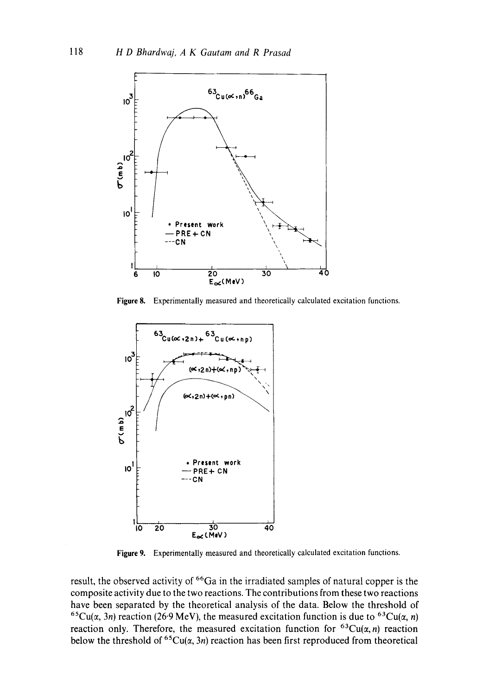

Figure 8. Experimentally measured and theoretically calculated excitation functions.



Figure 9. Experimentally measured and theoretically calculated excitation functions.

result, the observed activity of <sup>66</sup>Ga in the irradiated samples of natural copper is the composite activity due to the two reactions. The contributions from these two reactions have been separated by the theoretical analysis of the data. Below the threshold of <sup>65</sup>Cu( $\alpha$ , 3n) reaction (26.9 MeV), the measured excitation function is due to <sup>63</sup>Cu( $\alpha$ , n) reaction only. Therefore, the measured excitation function for  ${}^{63}Cu(\alpha,n)$  reaction below the threshold of  ${}^{65}Cu(x, 3n)$  reaction has been first reproduced from theoretical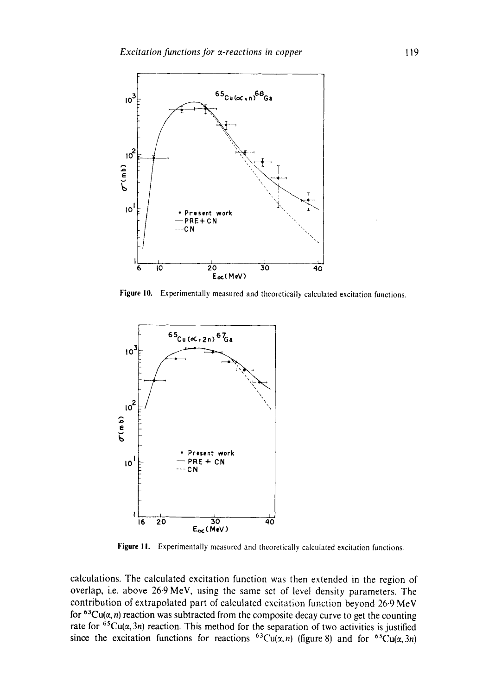

Figure 10. Experimentally measured and theoretically calculated excitation functions.



Figure 11. Experimentally measured and theoretically calculated excitation functions.

calculations. The calculated excitation function was then extended in the region of overlap, i.e. above 26.9 MeV, using the same set of level density parameters. The contribution of extrapolated part of calculated excitation function beyond 26.9 MeV for  $63Cu(\alpha, n)$  reaction was subtracted from the composite decay curve to get the counting rate for <sup>65</sup>Cu( $\alpha$ , 3n) reaction. This method for the separation of two activities is justified since the excitation functions for reactions <sup>63</sup>Cu( $\alpha$ ,n) (figure 8) and for <sup>65</sup>Cu( $\alpha$ , 3n)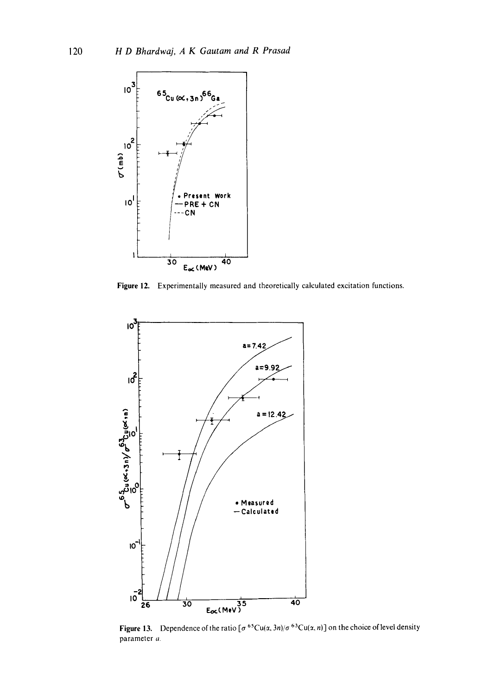

Figure 12. Experimentally measured and theoretically calculated excitation functions.



**Figure 13.** Dependence of the ratio  $\lbrack \sigma^{65}Cu(\alpha, 3n)/\sigma^{63}Cu(\alpha, n) \rbrack$  on the choice of level density parameter a.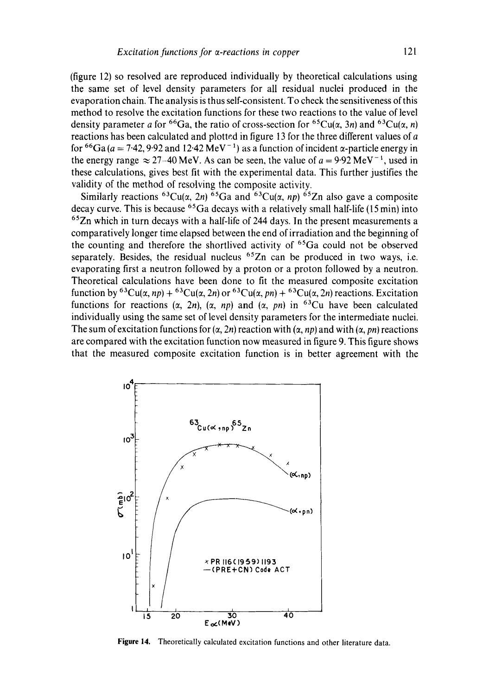(figure 12) so resolved are reproduced individually by theoretical calculations using the same set of level density parameters for all residual nuclei produced in the evaporation chain. The analysis is thus self-consistent. To check the sensitiveness of this method to resolve the excitation functions for these two reactions to the value of level density parameter a for <sup>66</sup>Ga, the ratio of cross-section for <sup>65</sup>Cu( $\alpha$ , 3n) and <sup>63</sup>Cu( $\alpha$ , n) reactions has been calculated and plotted in figure 13 for the three different values of a for <sup>66</sup>Ga ( $a = 7.42$ , 9.92 and 12.42 MeV<sup>-1</sup>) as a function of incident  $\alpha$ -particle energy in the energy range  $\approx 27-40$  MeV. As can be seen, the value of  $a = 9.92$  MeV<sup>-1</sup>, used in these calculations, gives best fit with the experimental data. This further justifies the validity of the method of resolving the composite activity.

Similarly reactions <sup>63</sup>Cu( $\alpha$ , 2n) <sup>65</sup>Ga and <sup>63</sup>Cu( $\alpha$ , np) <sup>65</sup>Zn also gave a composite decay curve. This is because  ${}^{65}Ga$  decays with a relatively small half-life (15 min) into  $65$ Zn which in turn decays with a half-life of 244 days. In the present measurements a comparatively longer time elapsed between the end of irradiation and the beginning of the counting and therefore the shortlived activity of  ${}^{65}Ga$  could not be observed separately. Besides, the residual nucleus  $65Zn$  can be produced in two ways, i.e. evaporating first a neutron followed by a proton or a proton followed by a neutron. Theoretical calculations have been done to fit the measured composite excitation function by <sup>63</sup>Cu( $\alpha$ , *np*) + <sup>63</sup>Cu( $\alpha$ , 2*n*) or <sup>63</sup>Cu( $\alpha$ , *pn*) + <sup>63</sup>Cu( $\alpha$ , 2*n*) reactions. Excitation functions for reactions  $(\alpha, 2n)$ ,  $(\alpha, np)$  and  $(\alpha, pn)$  in <sup>63</sup>Cu have been calculated individually using the same set of level density parameters for the intermediate nuclei. The sum of excitation functions for  $(\alpha, 2n)$  reaction with  $(\alpha, np)$  and with  $(\alpha, pn)$  reactions are compared with the excitation function now measured in figure 9. This figure shows that the measured composite excitation function is in better agreement with the



Figure 14. Theoretically calculated excitation functions and other literature data.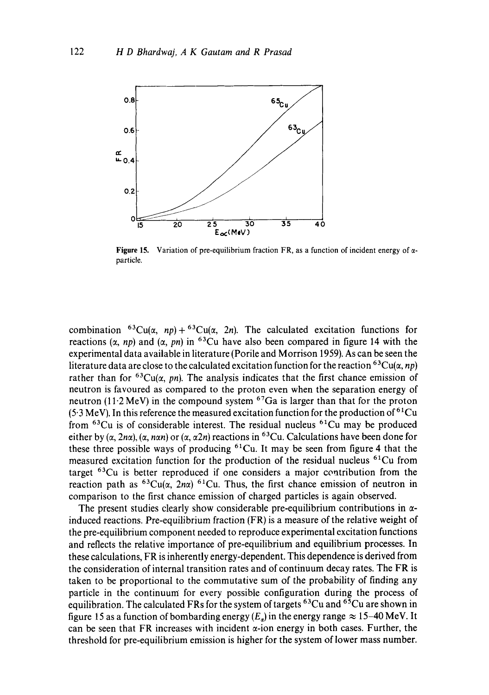

Figure 15. Variation of pre-equilibrium fraction FR, as a function of incident energy of  $\alpha$ particle.

combination <sup>63</sup>Cu( $\alpha$ , *np*) + <sup>63</sup>Cu( $\alpha$ , 2*n*). The calculated excitation functions for reactions ( $\alpha$ , *np*) and ( $\alpha$ , *pn*) in <sup>63</sup>Cu have also been compared in figure 14 with the experimental data available in literature (Porile and Morrison 1959). As can be seen the literature data are close to the calculated excitation function for the reaction <sup>63</sup>Cu( $\alpha$ , *np*) rather than for  ${}^{63}Cu(x, pn)$ . The analysis indicates that the first chance emission of neutron is favoured as compared to the proton even when the separation energy of neutron (11.2 MeV) in the compound system  $67Ga$  is larger than that for the proton (5.3 MeV). In this reference the measured excitation function for the production of  $61Cu$ from  ${}^{63}Cu$  is of considerable interest. The residual nucleus  ${}^{61}Cu$  may be produced either by  $(\alpha, 2n\alpha)$ ,  $(\alpha, n\alpha n)$  or  $(\alpha, \alpha 2n)$  reactions in <sup>63</sup>Cu. Calculations have been done for these three possible ways of producing  ${}^{61}Cu$ . It may be seen from figure 4 that the measured excitation function for the production of the residual nucleus  ${}^{61}Cu$  from target 63Cu is better reproduced if one considers a major contribution from the reaction path as  ${}^{63}Cu(x, 2n\alpha) {}^{61}Cu$ . Thus, the first chance emission of neutron in comparison to the first chance emission of charged particles is again observed.

The present studies clearly show considerable pre-equilibrium contributions in  $\alpha$ induced reactions. Pre-equilibrium fraction (FR) is a measure of the relative weight of the pre-equilibrium component needed to reproduce experimental excitation functions and reflects the relative importance of pre-equilibrium and equilibrium processes. In these calculations, FR is inherently energy-dependent. This dependence is derived from the consideration of internal transition rates and of continuum decay rates. The FR is taken to be proportional to the commutative sum of the probability of finding any particle in the continuum for every possible configuration during the process of equilibration. The calculated FRs for the system of targets <sup>63</sup>Cu and <sup>65</sup>Cu are shown in figure 15 as a function of bombarding energy  $(E_a)$  in the energy range  $\approx 15-40$  MeV. It can be seen that FR increases with incident  $\alpha$ -ion energy in both cases. Further, the threshold for pre-equilibrium emission is higher for the system of lower mass number.